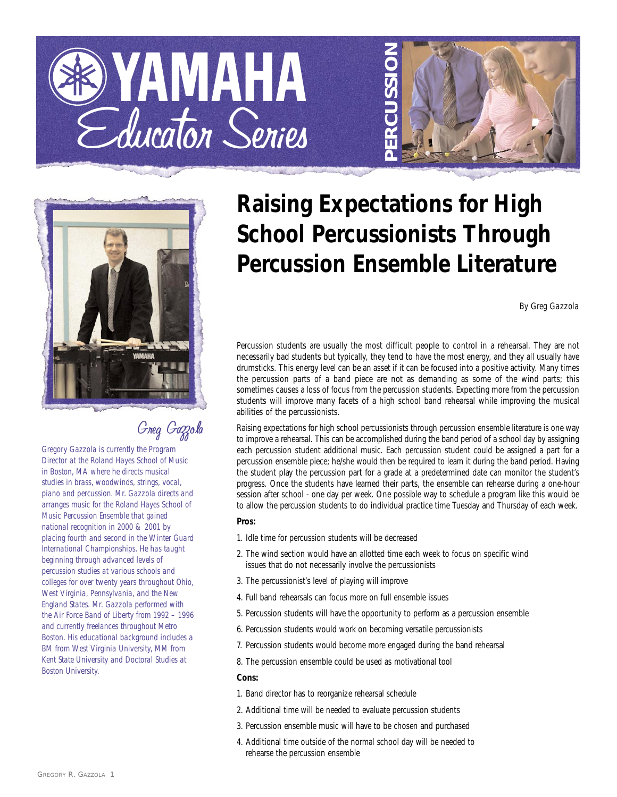





# Greg Gazzola

*Gregory Gazzola is currently the Program Director at the Roland Hayes School of Music in Boston, MA where he directs musical studies in brass, woodwinds, strings, vocal, piano and percussion. Mr. Gazzola directs and arranges music for the Roland Hayes School of Music Percussion Ensemble that gained national recognition in 2000 & 2001 by placing fourth and second in the Winter Guard International Championships. He has taught beginning through advanced levels of percussion studies at various schools and colleges for over twenty years throughout Ohio, West Virginia, Pennsylvania, and the New England States. Mr. Gazzola performed with the Air Force Band of Liberty from 1992 – 1996 and currently freelances throughout Metro Boston. His educational background includes a BM from West Virginia University, MM from Kent State University and Doctoral Studies at Boston University.*

# **Raising Expectations for High School Percussionists Through Percussion Ensemble Literature**

*By Greg Gazzola*

Percussion students are usually the most difficult people to control in a rehearsal. They are not necessarily bad students but typically, they tend to have the most energy, and they all usually have drumsticks. This energy level can be an asset if it can be focused into a positive activity. Many times the percussion parts of a band piece are not as demanding as some of the wind parts; this sometimes causes a loss of focus from the percussion students. Expecting more from the percussion students will improve many facets of a high school band rehearsal while improving the musical abilities of the percussionists.

Raising expectations for high school percussionists through percussion ensemble literature is one way to improve a rehearsal. This can be accomplished during the band period of a school day by assigning each percussion student additional music. Each percussion student could be assigned a part for a percussion ensemble piece; he/she would then be required to learn it during the band period. Having the student play the percussion part for a grade at a predetermined date can monitor the student's progress. Once the students have learned their parts, the ensemble can rehearse during a one-hour session after school - one day per week. One possible way to schedule a program like this would be to allow the percussion students to do individual practice time Tuesday and Thursday of each week.

# **Pros:**

- 1. Idle time for percussion students will be decreased
- 2. The wind section would have an allotted time each week to focus on specific wind issues that do not necessarily involve the percussionists
- 3. The percussionist's level of playing will improve
- 4. Full band rehearsals can focus more on full ensemble issues
- 5. Percussion students will have the opportunity to perform as a percussion ensemble
- 6. Percussion students would work on becoming versatile percussionists
- 7. Percussion students would become more engaged during the band rehearsal
- 8. The percussion ensemble could be used as motivational tool

## **Cons:**

- 1. Band director has to reorganize rehearsal schedule
- 2. Additional time will be needed to evaluate percussion students
- 3. Percussion ensemble music will have to be chosen and purchased
- 4. Additional time outside of the normal school day will be needed to rehearse the percussion ensemble